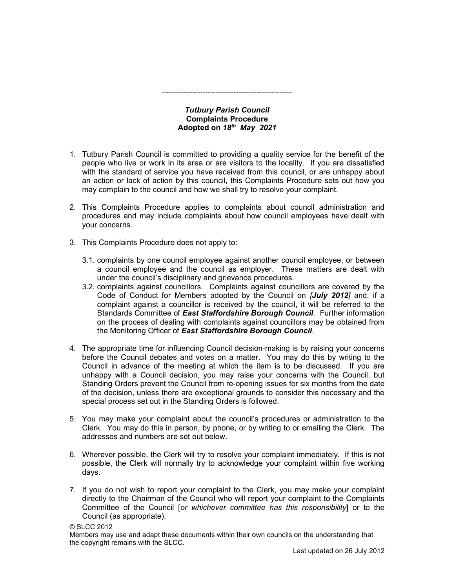## Tutbury Parish Council Complaints Procedure Adopted on  $18^{th}$  May 2021

---------------------------------------------------

- 1. Tutbury Parish Council is committed to providing a quality service for the benefit of the people who live or work in its area or are visitors to the locality. If you are dissatisfied with the standard of service you have received from this council, or are unhappy about an action or lack of action by this council, this Complaints Procedure sets out how you may complain to the council and how we shall try to resolve your complaint.
- 2. This Complaints Procedure applies to complaints about council administration and procedures and may include complaints about how council employees have dealt with your concerns.
- 3. This Complaints Procedure does not apply to:
	- 3.1. complaints by one council employee against another council employee, or between a council employee and the council as employer. These matters are dealt with under the council's disciplinary and grievance procedures.
	- 3.2. complaints against councillors. Complaints against councillors are covered by the Code of Conduct for Members adopted by the Council on *[July 2012]* and, if a complaint against a councillor is received by the council, it will be referred to the Standards Committee of East Staffordshire Borough Council. Further information on the process of dealing with complaints against councillors may be obtained from the Monitoring Officer of East Staffordshire Borough Council.
- 4. The appropriate time for influencing Council decision-making is by raising your concerns before the Council debates and votes on a matter. You may do this by writing to the Council in advance of the meeting at which the item is to be discussed. If you are unhappy with a Council decision, you may raise your concerns with the Council, but Standing Orders prevent the Council from re-opening issues for six months from the date of the decision, unless there are exceptional grounds to consider this necessary and the special process set out in the Standing Orders is followed.
- 5. You may make your complaint about the council's procedures or administration to the Clerk. You may do this in person, by phone, or by writing to or emailing the Clerk. The addresses and numbers are set out below.
- 6. Wherever possible, the Clerk will try to resolve your complaint immediately. If this is not possible, the Clerk will normally try to acknowledge your complaint within five working days.
- 7. If you do not wish to report your complaint to the Clerk, you may make your complaint directly to the Chairman of the Council who will report your complaint to the Complaints Committee of the Council [or whichever committee has this responsibility] or to the Council (as appropriate).

Members may use and adapt these documents within their own councils on the understanding that the copyright remains with the SLCC.

<sup>©</sup> SLCC 2012